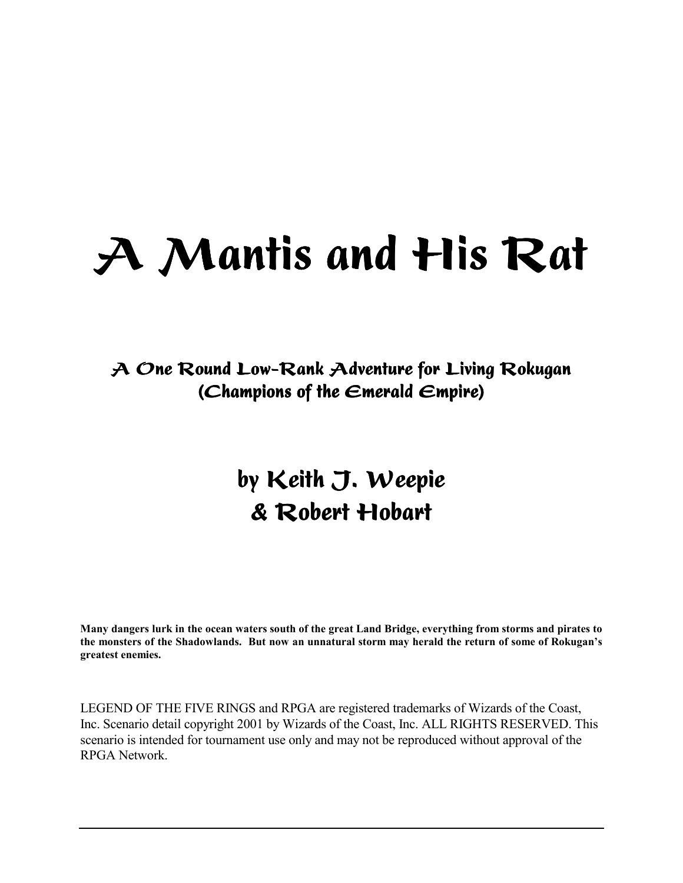# A Mantis and His Rat

A One Round Low-Rank Adventure for Living Rokugan (Champions of the Emerald Empire)

## by Keith J. Weepie & Robert Hobart

**Many dangers lurk in the ocean waters south of the great Land Bridge, everything from storms and pirates to the monsters of the Shadowlands. But now an unnatural storm may herald the return of some of Rokuganís greatest enemies.** 

LEGEND OF THE FIVE RINGS and RPGA are registered trademarks of Wizards of the Coast, Inc. Scenario detail copyright 2001 by Wizards of the Coast, Inc. ALL RIGHTS RESERVED. This scenario is intended for tournament use only and may not be reproduced without approval of the RPGA Network.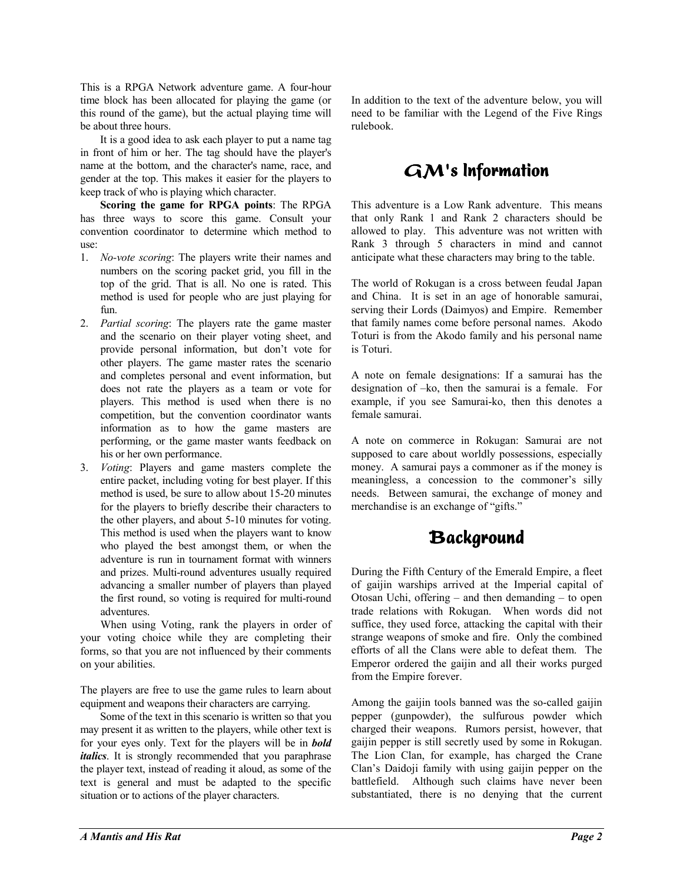This is a RPGA Network adventure game. A four-hour time block has been allocated for playing the game (or this round of the game), but the actual playing time will be about three hours.

 It is a good idea to ask each player to put a name tag in front of him or her. The tag should have the player's name at the bottom, and the character's name, race, and gender at the top. This makes it easier for the players to keep track of who is playing which character.

**Scoring the game for RPGA points**: The RPGA has three ways to score this game. Consult your convention coordinator to determine which method to use:

- 1. *No-vote scoring*: The players write their names and numbers on the scoring packet grid, you fill in the top of the grid. That is all. No one is rated. This method is used for people who are just playing for fun.
- 2. *Partial scoring*: The players rate the game master and the scenario on their player voting sheet, and provide personal information, but don't vote for other players. The game master rates the scenario and completes personal and event information, but does not rate the players as a team or vote for players. This method is used when there is no competition, but the convention coordinator wants information as to how the game masters are performing, or the game master wants feedback on his or her own performance.
- 3. *Voting*: Players and game masters complete the entire packet, including voting for best player. If this method is used, be sure to allow about 15-20 minutes for the players to briefly describe their characters to the other players, and about 5-10 minutes for voting. This method is used when the players want to know who played the best amongst them, or when the adventure is run in tournament format with winners and prizes. Multi-round adventures usually required advancing a smaller number of players than played the first round, so voting is required for multi-round adventures.

 When using Voting, rank the players in order of your voting choice while they are completing their forms, so that you are not influenced by their comments on your abilities.

The players are free to use the game rules to learn about equipment and weapons their characters are carrying.

 Some of the text in this scenario is written so that you may present it as written to the players, while other text is for your eyes only. Text for the players will be in *bold italics*. It is strongly recommended that you paraphrase the player text, instead of reading it aloud, as some of the text is general and must be adapted to the specific situation or to actions of the player characters.

In addition to the text of the adventure below, you will need to be familiar with the Legend of the Five Rings rulebook.

### $GM$ 's Information

This adventure is a Low Rank adventure. This means that only Rank 1 and Rank 2 characters should be allowed to play. This adventure was not written with Rank 3 through 5 characters in mind and cannot anticipate what these characters may bring to the table.

The world of Rokugan is a cross between feudal Japan and China. It is set in an age of honorable samurai, serving their Lords (Daimyos) and Empire. Remember that family names come before personal names. Akodo Toturi is from the Akodo family and his personal name is Toturi.

A note on female designations: If a samurai has the designation of  $-ko$ , then the samurai is a female. For example, if you see Samurai-ko, then this denotes a female samurai.

A note on commerce in Rokugan: Samurai are not supposed to care about worldly possessions, especially money. A samurai pays a commoner as if the money is meaningless, a concession to the commoner's silly needs. Between samurai, the exchange of money and merchandise is an exchange of "gifts."

### Background

During the Fifth Century of the Emerald Empire, a fleet of gaijin warships arrived at the Imperial capital of Otosan Uchi, offering  $-$  and then demanding  $-$  to open trade relations with Rokugan. When words did not suffice, they used force, attacking the capital with their strange weapons of smoke and fire. Only the combined efforts of all the Clans were able to defeat them. The Emperor ordered the gaijin and all their works purged from the Empire forever.

Among the gaijin tools banned was the so-called gaijin pepper (gunpowder), the sulfurous powder which charged their weapons. Rumors persist, however, that gaijin pepper is still secretly used by some in Rokugan. The Lion Clan, for example, has charged the Crane Clan's Daidoji family with using gaijin pepper on the battlefield. Although such claims have never been substantiated, there is no denying that the current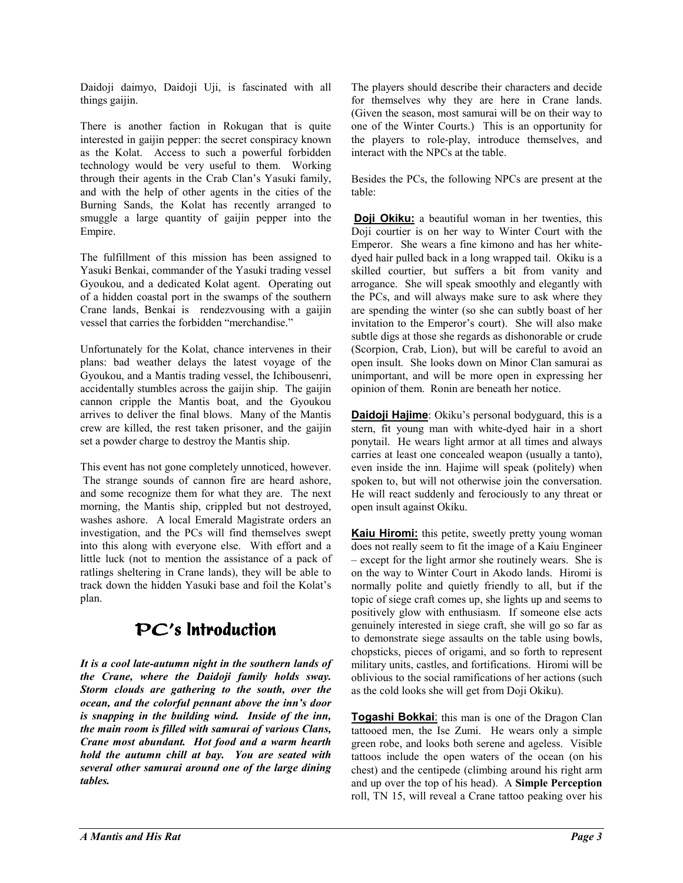Daidoji daimyo, Daidoji Uji, is fascinated with all things gaijin.

There is another faction in Rokugan that is quite interested in gaijin pepper: the secret conspiracy known as the Kolat. Access to such a powerful forbidden technology would be very useful to them. Working through their agents in the Crab Clan's Yasuki family, and with the help of other agents in the cities of the Burning Sands, the Kolat has recently arranged to smuggle a large quantity of gaijin pepper into the Empire.

The fulfillment of this mission has been assigned to Yasuki Benkai, commander of the Yasuki trading vessel Gyoukou, and a dedicated Kolat agent. Operating out of a hidden coastal port in the swamps of the southern Crane lands, Benkai is rendezvousing with a gaijin vessel that carries the forbidden "merchandise."

Unfortunately for the Kolat, chance intervenes in their plans: bad weather delays the latest voyage of the Gyoukou, and a Mantis trading vessel, the Ichibousenri, accidentally stumbles across the gaijin ship. The gaijin cannon cripple the Mantis boat, and the Gyoukou arrives to deliver the final blows. Many of the Mantis crew are killed, the rest taken prisoner, and the gaijin set a powder charge to destroy the Mantis ship.

This event has not gone completely unnoticed, however. The strange sounds of cannon fire are heard ashore, and some recognize them for what they are. The next morning, the Mantis ship, crippled but not destroyed, washes ashore. A local Emerald Magistrate orders an investigation, and the PCs will find themselves swept into this along with everyone else. With effort and a little luck (not to mention the assistance of a pack of ratlings sheltering in Crane lands), they will be able to track down the hidden Yasuki base and foil the Kolat's plan.

### $PC's$  Introduction

*It is a cool late-autumn night in the southern lands of the Crane, where the Daidoji family holds sway. Storm clouds are gathering to the south, over the ocean, and the colorful pennant above the innís door is snapping in the building wind. Inside of the inn, the main room is filled with samurai of various Clans, Crane most abundant. Hot food and a warm hearth hold the autumn chill at bay. You are seated with several other samurai around one of the large dining tables.* 

The players should describe their characters and decide for themselves why they are here in Crane lands. (Given the season, most samurai will be on their way to one of the Winter Courts.) This is an opportunity for the players to role-play, introduce themselves, and interact with the NPCs at the table.

Besides the PCs, the following NPCs are present at the table:

**Doji Okiku:** a beautiful woman in her twenties, this Doji courtier is on her way to Winter Court with the Emperor. She wears a fine kimono and has her whitedyed hair pulled back in a long wrapped tail. Okiku is a skilled courtier, but suffers a bit from vanity and arrogance. She will speak smoothly and elegantly with the PCs, and will always make sure to ask where they are spending the winter (so she can subtly boast of her invitation to the Emperor's court). She will also make subtle digs at those she regards as dishonorable or crude (Scorpion, Crab, Lion), but will be careful to avoid an open insult. She looks down on Minor Clan samurai as unimportant, and will be more open in expressing her opinion of them. Ronin are beneath her notice.

**Daidoji Hajime**: Okiku's personal bodyguard, this is a stern, fit young man with white-dyed hair in a short ponytail. He wears light armor at all times and always carries at least one concealed weapon (usually a tanto), even inside the inn. Hajime will speak (politely) when spoken to, but will not otherwise join the conversation. He will react suddenly and ferociously to any threat or open insult against Okiku.

**Kaiu Hiromi:** this petite, sweetly pretty young woman does not really seem to fit the image of a Kaiu Engineer – except for the light armor she routinely wears. She is on the way to Winter Court in Akodo lands. Hiromi is normally polite and quietly friendly to all, but if the topic of siege craft comes up, she lights up and seems to positively glow with enthusiasm. If someone else acts genuinely interested in siege craft, she will go so far as to demonstrate siege assaults on the table using bowls, chopsticks, pieces of origami, and so forth to represent military units, castles, and fortifications. Hiromi will be oblivious to the social ramifications of her actions (such as the cold looks she will get from Doji Okiku).

**Togashi Bokkai**: this man is one of the Dragon Clan tattooed men, the Ise Zumi. He wears only a simple green robe, and looks both serene and ageless. Visible tattoos include the open waters of the ocean (on his chest) and the centipede (climbing around his right arm and up over the top of his head). A **Simple Perception** roll, TN 15, will reveal a Crane tattoo peaking over his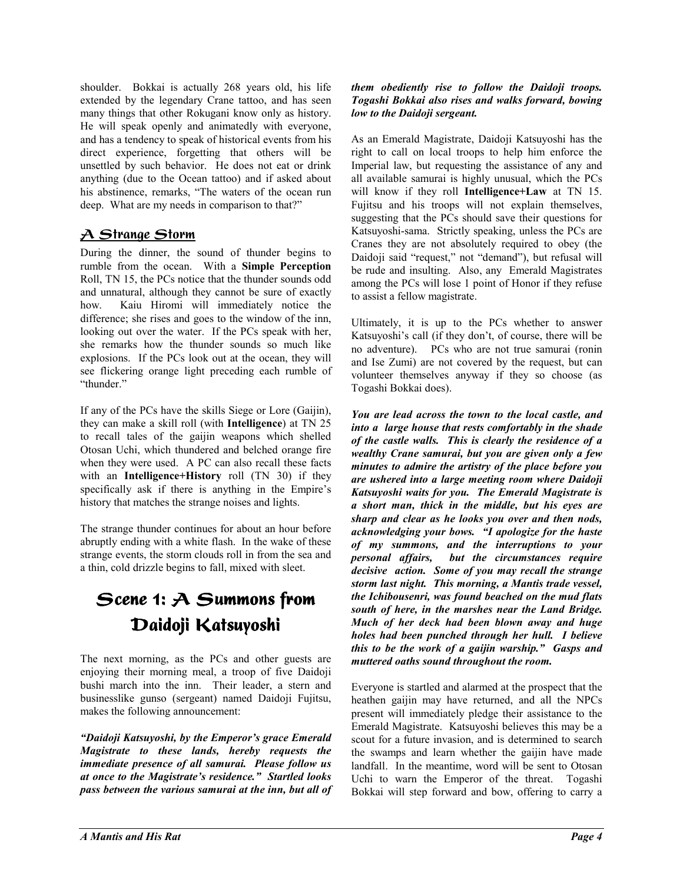shoulder. Bokkai is actually 268 years old, his life extended by the legendary Crane tattoo, and has seen many things that other Rokugani know only as history. He will speak openly and animatedly with everyone, and has a tendency to speak of historical events from his direct experience, forgetting that others will be unsettled by such behavior. He does not eat or drink anything (due to the Ocean tattoo) and if asked about his abstinence, remarks, "The waters of the ocean run deep. What are my needs in comparison to that?"

### <u>A Strange Storm</u>

During the dinner, the sound of thunder begins to rumble from the ocean. With a **Simple Perception** Roll, TN 15, the PCs notice that the thunder sounds odd and unnatural, although they cannot be sure of exactly how. Kaiu Hiromi will immediately notice the difference; she rises and goes to the window of the inn, looking out over the water. If the PCs speak with her, she remarks how the thunder sounds so much like explosions. If the PCs look out at the ocean, they will see flickering orange light preceding each rumble of "thunder."

If any of the PCs have the skills Siege or Lore (Gaijin), they can make a skill roll (with **Intelligence**) at TN 25 to recall tales of the gaijin weapons which shelled Otosan Uchi, which thundered and belched orange fire when they were used. A PC can also recall these facts with an **Intelligence+History** roll (TN 30) if they specifically ask if there is anything in the Empire's history that matches the strange noises and lights.

The strange thunder continues for about an hour before abruptly ending with a white flash. In the wake of these strange events, the storm clouds roll in from the sea and a thin, cold drizzle begins to fall, mixed with sleet.

### Scene 1:  $A$  Summons from Daidoji Katsuyoshi

The next morning, as the PCs and other guests are enjoying their morning meal, a troop of five Daidoji bushi march into the inn. Their leader, a stern and businesslike gunso (sergeant) named Daidoji Fujitsu, makes the following announcement:

*<sup>4</sup>Daidoji Katsuyoshi, by the Emperor's grace Emerald Magistrate to these lands, hereby requests the immediate presence of all samurai. Please follow us at once to the Magistrate's residence.*" *Startled looks pass between the various samurai at the inn, but all of* 

#### *them obediently rise to follow the Daidoji troops. Togashi Bokkai also rises and walks forward, bowing low to the Daidoji sergeant.*

As an Emerald Magistrate, Daidoji Katsuyoshi has the right to call on local troops to help him enforce the Imperial law, but requesting the assistance of any and all available samurai is highly unusual, which the PCs will know if they roll **Intelligence+Law** at TN 15. Fujitsu and his troops will not explain themselves, suggesting that the PCs should save their questions for Katsuyoshi-sama. Strictly speaking, unless the PCs are Cranes they are not absolutely required to obey (the Daidoji said "request," not "demand"), but refusal will be rude and insulting. Also, any Emerald Magistrates among the PCs will lose 1 point of Honor if they refuse to assist a fellow magistrate.

Ultimately, it is up to the PCs whether to answer Katsuyoshi's call (if they don't, of course, there will be no adventure). PCs who are not true samurai (ronin and Ise Zumi) are not covered by the request, but can volunteer themselves anyway if they so choose (as Togashi Bokkai does).

*You are lead across the town to the local castle, and into a large house that rests comfortably in the shade of the castle walls. This is clearly the residence of a wealthy Crane samurai, but you are given only a few minutes to admire the artistry of the place before you are ushered into a large meeting room where Daidoji Katsuyoshi waits for you. The Emerald Magistrate is a short man, thick in the middle, but his eyes are sharp and clear as he looks you over and then nods, acknowledging your bows.* "I apologize for the haste *of my summons, and the interruptions to your personal affairs, but the circumstances require decisive action. Some of you may recall the strange storm last night. This morning, a Mantis trade vessel, the Ichibousenri, was found beached on the mud flats south of here, in the marshes near the Land Bridge. Much of her deck had been blown away and huge holes had been punched through her hull. I believe this to be the work of a gaijin warship.*" *Gasps and muttered oaths sound throughout the room.* 

Everyone is startled and alarmed at the prospect that the heathen gaijin may have returned, and all the NPCs present will immediately pledge their assistance to the Emerald Magistrate. Katsuyoshi believes this may be a scout for a future invasion, and is determined to search the swamps and learn whether the gaijin have made landfall. In the meantime, word will be sent to Otosan Uchi to warn the Emperor of the threat. Togashi Bokkai will step forward and bow, offering to carry a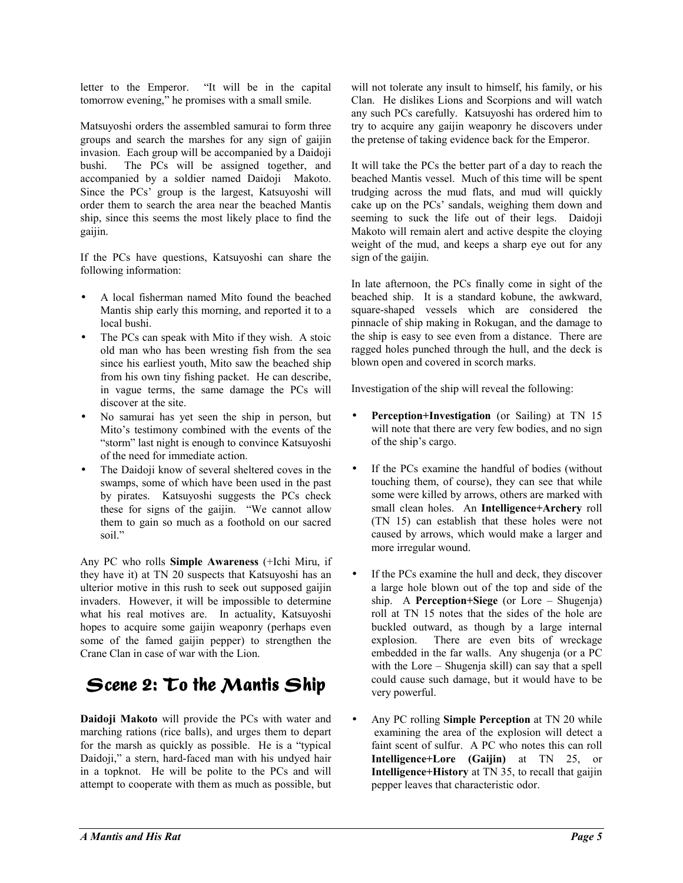letter to the Emperor. "It will be in the capital tomorrow evening," he promises with a small smile.

Matsuyoshi orders the assembled samurai to form three groups and search the marshes for any sign of gaijin invasion. Each group will be accompanied by a Daidoji bushi. The PCs will be assigned together, and accompanied by a soldier named Daidoji Makoto. Since the PCs' group is the largest, Katsuyoshi will order them to search the area near the beached Mantis ship, since this seems the most likely place to find the gaijin.

If the PCs have questions, Katsuyoshi can share the following information:

- A local fisherman named Mito found the beached Mantis ship early this morning, and reported it to a local bushi.
- The PCs can speak with Mito if they wish. A stoic old man who has been wresting fish from the sea since his earliest youth, Mito saw the beached ship from his own tiny fishing packet. He can describe, in vague terms, the same damage the PCs will discover at the site.
- No samurai has yet seen the ship in person, but Mito's testimony combined with the events of the "storm" last night is enough to convince Katsuyoshi of the need for immediate action.
- The Daidoji know of several sheltered coves in the swamps, some of which have been used in the past by pirates. Katsuyoshi suggests the PCs check these for signs of the gaijin. "We cannot allow them to gain so much as a foothold on our sacred soil."

Any PC who rolls **Simple Awareness** (+Ichi Miru, if they have it) at TN 20 suspects that Katsuyoshi has an ulterior motive in this rush to seek out supposed gaijin invaders. However, it will be impossible to determine what his real motives are. In actuality, Katsuyoshi hopes to acquire some gaijin weaponry (perhaps even some of the famed gaijin pepper) to strengthen the Crane Clan in case of war with the Lion.

### Scene 2:  $\mathcal{I}$ o the Mantis Ship

**Daidoji Makoto** will provide the PCs with water and marching rations (rice balls), and urges them to depart for the marsh as quickly as possible. He is a "typical" Daidoji," a stern, hard-faced man with his undyed hair in a topknot. He will be polite to the PCs and will attempt to cooperate with them as much as possible, but will not tolerate any insult to himself, his family, or his Clan. He dislikes Lions and Scorpions and will watch any such PCs carefully. Katsuyoshi has ordered him to try to acquire any gaijin weaponry he discovers under the pretense of taking evidence back for the Emperor.

It will take the PCs the better part of a day to reach the beached Mantis vessel. Much of this time will be spent trudging across the mud flats, and mud will quickly cake up on the PCs' sandals, weighing them down and seeming to suck the life out of their legs. Daidoji Makoto will remain alert and active despite the cloying weight of the mud, and keeps a sharp eye out for any sign of the gaijin.

In late afternoon, the PCs finally come in sight of the beached ship. It is a standard kobune, the awkward, square-shaped vessels which are considered the pinnacle of ship making in Rokugan, and the damage to the ship is easy to see even from a distance. There are ragged holes punched through the hull, and the deck is blown open and covered in scorch marks.

Investigation of the ship will reveal the following:

- **Perception+Investigation** (or Sailing) at TN 15 will note that there are very few bodies, and no sign of the ship's cargo.
- If the PCs examine the handful of bodies (without touching them, of course), they can see that while some were killed by arrows, others are marked with small clean holes. An **Intelligence+Archery** roll (TN 15) can establish that these holes were not caused by arrows, which would make a larger and more irregular wound.
- If the PCs examine the hull and deck, they discover a large hole blown out of the top and side of the ship. A **Perception+Siege** (or Lore – Shugenja) roll at TN 15 notes that the sides of the hole are buckled outward, as though by a large internal explosion. There are even bits of wreckage embedded in the far walls. Any shugenja (or a PC with the Lore  $-$  Shugenja skill) can say that a spell could cause such damage, but it would have to be very powerful.
- Any PC rolling **Simple Perception** at TN 20 while examining the area of the explosion will detect a faint scent of sulfur. A PC who notes this can roll **Intelligence+Lore (Gaijin)** at TN 25, or **Intelligence+History** at TN 35, to recall that gaijin pepper leaves that characteristic odor.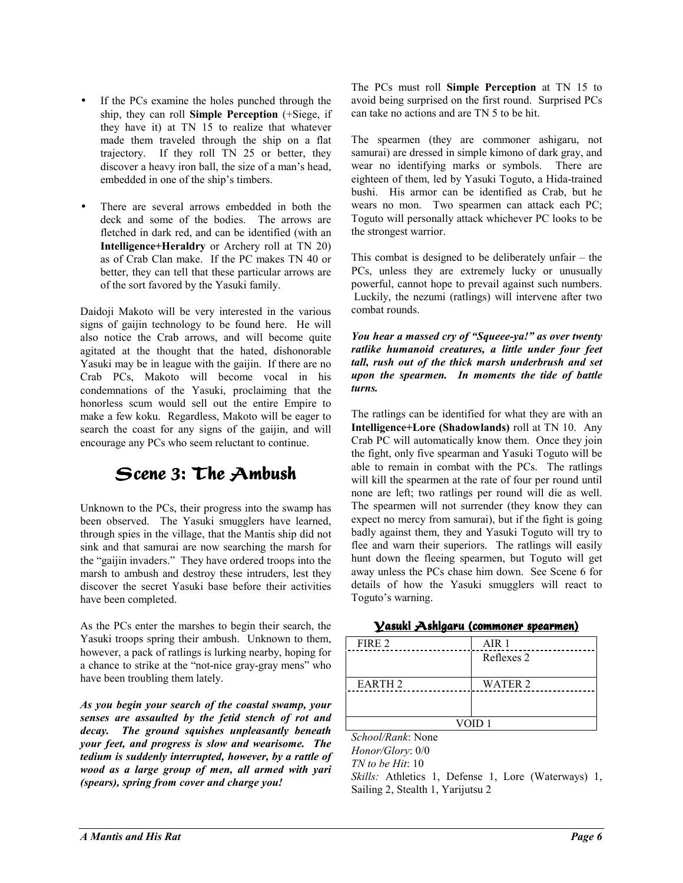- If the PCs examine the holes punched through the ship, they can roll **Simple Perception** (+Siege, if they have it) at TN 15 to realize that whatever made them traveled through the ship on a flat trajectory. If they roll TN 25 or better, they discover a heavy iron ball, the size of a man's head, embedded in one of the ship's timbers.
- There are several arrows embedded in both the deck and some of the bodies. The arrows are fletched in dark red, and can be identified (with an **Intelligence+Heraldry** or Archery roll at TN 20) as of Crab Clan make. If the PC makes TN 40 or better, they can tell that these particular arrows are of the sort favored by the Yasuki family.

Daidoji Makoto will be very interested in the various signs of gaijin technology to be found here. He will also notice the Crab arrows, and will become quite agitated at the thought that the hated, dishonorable Yasuki may be in league with the gaijin. If there are no Crab PCs, Makoto will become vocal in his condemnations of the Yasuki, proclaiming that the honorless scum would sell out the entire Empire to make a few koku. Regardless, Makoto will be eager to search the coast for any signs of the gaijin, and will encourage any PCs who seem reluctant to continue.

### Scene 3: The Ambush

Unknown to the PCs, their progress into the swamp has been observed. The Yasuki smugglers have learned, through spies in the village, that the Mantis ship did not sink and that samurai are now searching the marsh for the "gaijin invaders." They have ordered troops into the marsh to ambush and destroy these intruders, lest they discover the secret Yasuki base before their activities have been completed.

As the PCs enter the marshes to begin their search, the Yasuki troops spring their ambush. Unknown to them, however, a pack of ratlings is lurking nearby, hoping for a chance to strike at the "not-nice gray-gray mens" who have been troubling them lately.

*As you begin your search of the coastal swamp, your senses are assaulted by the fetid stench of rot and decay. The ground squishes unpleasantly beneath your feet, and progress is slow and wearisome. The tedium is suddenly interrupted, however, by a rattle of wood as a large group of men, all armed with yari (spears), spring from cover and charge you!* 

The PCs must roll **Simple Perception** at TN 15 to avoid being surprised on the first round. Surprised PCs can take no actions and are TN 5 to be hit.

The spearmen (they are commoner ashigaru, not samurai) are dressed in simple kimono of dark gray, and wear no identifying marks or symbols. There are eighteen of them, led by Yasuki Toguto, a Hida-trained bushi. His armor can be identified as Crab, but he wears no mon. Two spearmen can attack each PC; Toguto will personally attack whichever PC looks to be the strongest warrior.

This combat is designed to be deliberately unfair  $-$  the PCs, unless they are extremely lucky or unusually powerful, cannot hope to prevail against such numbers. Luckily, the nezumi (ratlings) will intervene after two combat rounds.

*You hear a massed cry of "Squeee-ya!" as over twenty ratlike humanoid creatures, a little under four feet tall, rush out of the thick marsh underbrush and set upon the spearmen. In moments the tide of battle turns.* 

The ratlings can be identified for what they are with an **Intelligence+Lore (Shadowlands)** roll at TN 10. Any Crab PC will automatically know them. Once they join the fight, only five spearman and Yasuki Toguto will be able to remain in combat with the PCs. The ratlings will kill the spearmen at the rate of four per round until none are left; two ratlings per round will die as well. The spearmen will not surrender (they know they can expect no mercy from samurai), but if the fight is going badly against them, they and Yasuki Toguto will try to flee and warn their superiors. The ratlings will easily hunt down the fleeing spearmen, but Toguto will get away unless the PCs chase him down. See Scene 6 for details of how the Yasuki smugglers will react to Toguto's warning.

| <u>Vasuki Ashigaru (commoner spearmen)</u> |  |  |
|--------------------------------------------|--|--|
|                                            |  |  |

| FIRE 2             | AIR <sub>1</sub> |
|--------------------|------------------|
|                    | Reflexes 2       |
|                    |                  |
| EARTH <sub>2</sub> | <b>WATER 2</b>   |
|                    |                  |
|                    |                  |
|                    | VOID 1           |
| School/Rank: None  |                  |
|                    |                  |

*Honor/Glory*: 0/0 *TN to be Hit*: 10 *Skills:* Athletics 1, Defense 1, Lore (Waterways) 1, Sailing 2, Stealth 1, Yarijutsu 2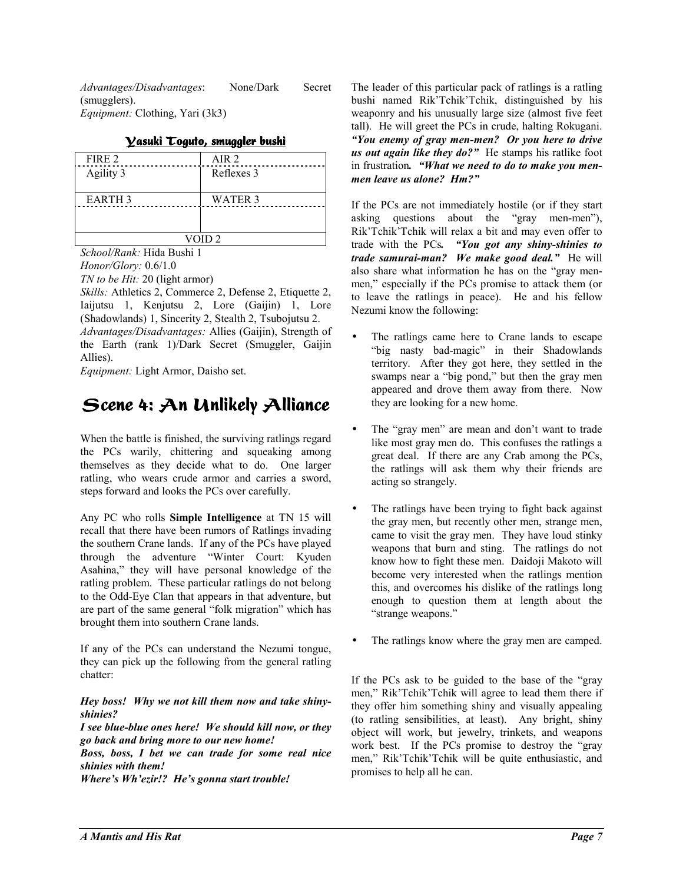*Advantages/Disadvantages*: None/Dark Secret (smugglers). *Equipment:* Clothing, Yari (3k3)

| FIRE 2            | AIR 2      |
|-------------------|------------|
| Agility 3         | Reflexes 3 |
| <b>EARTH 3</b>    | WATER 3    |
|                   |            |
| VOID <sub>2</sub> |            |

<u>Vasuki Toguto, smuggler bushi</u>

*School/Rank:* Hida Bushi 1 *Honor/Glory:* 0.6/1.0

*TN to be Hit:* 20 (light armor)

*Skills:* Athletics 2, Commerce 2, Defense 2, Etiquette 2, Iaijutsu 1, Kenjutsu 2, Lore (Gaijin) 1, Lore (Shadowlands) 1, Sincerity 2, Stealth 2, Tsubojutsu 2. *Advantages/Disadvantages:* Allies (Gaijin), Strength of the Earth (rank 1)/Dark Secret (Smuggler, Gaijin Allies).

*Equipment:* Light Armor, Daisho set.

### Scene 4: An Unlikely Alliance

When the battle is finished, the surviving ratlings regard the PCs warily, chittering and squeaking among themselves as they decide what to do. One larger ratling, who wears crude armor and carries a sword, steps forward and looks the PCs over carefully.

Any PC who rolls **Simple Intelligence** at TN 15 will recall that there have been rumors of Ratlings invading the southern Crane lands. If any of the PCs have played through the adventure "Winter Court: Kyuden" Asahina," they will have personal knowledge of the ratling problem. These particular ratlings do not belong to the Odd-Eye Clan that appears in that adventure, but are part of the same general "folk migration" which has brought them into southern Crane lands.

If any of the PCs can understand the Nezumi tongue, they can pick up the following from the general ratling chatter:

#### *Hey boss! Why we not kill them now and take shinyshinies?*

*I see blue-blue ones here! We should kill now, or they go back and bring more to our new home!* 

*Boss, boss, I bet we can trade for some real nice shinies with them!* 

*Where's Wh'ezir!? He's gonna start trouble!* 

The leader of this particular pack of ratlings is a ratling bushi named Rik'Tchik'Tchik, distinguished by his weaponry and his unusually large size (almost five feet tall). He will greet the PCs in crude, halting Rokugani. *ìYou enemy of gray men-men? Or you here to drive us out again like they do?*" He stamps his ratlike foot in frustration. "What we need to do to make you men*men leave us alone? Hm?î*

If the PCs are not immediately hostile (or if they start asking questions about the "gray men-men"), Rik'Tchik'Tchik will relax a bit and may even offer to trade with the PCs. "You got any shiny-shinies to *trade samurai-man? We make good deal.*" He will also share what information he has on the "gray menmen," especially if the PCs promise to attack them (or to leave the ratlings in peace). He and his fellow Nezumi know the following:

- The ratlings came here to Crane lands to escape "big nasty bad-magic" in their Shadowlands territory. After they got here, they settled in the swamps near a "big pond," but then the gray men appeared and drove them away from there. Now they are looking for a new home.
- The "gray men" are mean and don't want to trade like most gray men do. This confuses the ratlings a great deal. If there are any Crab among the PCs, the ratlings will ask them why their friends are acting so strangely.
- The ratlings have been trying to fight back against the gray men, but recently other men, strange men, came to visit the gray men. They have loud stinky weapons that burn and sting. The ratlings do not know how to fight these men. Daidoji Makoto will become very interested when the ratlings mention this, and overcomes his dislike of the ratlings long enough to question them at length about the "strange weapons."
- The ratlings know where the gray men are camped.

If the PCs ask to be guided to the base of the  $\degree$ gray men," Rik'Tchik'Tchik will agree to lead them there if they offer him something shiny and visually appealing (to ratling sensibilities, at least). Any bright, shiny object will work, but jewelry, trinkets, and weapons work best. If the PCs promise to destroy the "gray" men," Rik'Tchik'Tchik will be quite enthusiastic, and promises to help all he can.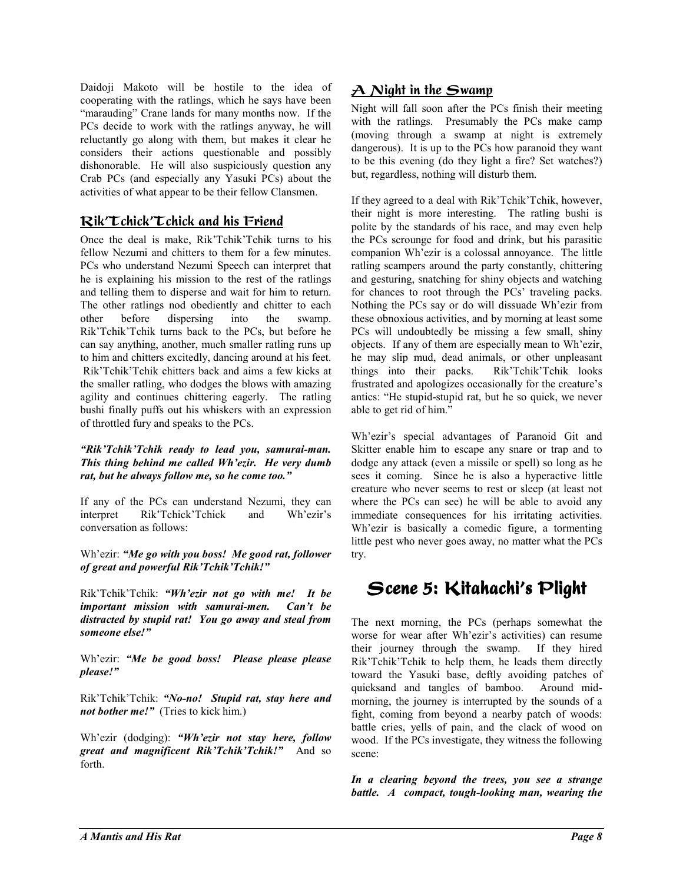Daidoji Makoto will be hostile to the idea of cooperating with the ratlings, which he says have been "marauding" Crane lands for many months now. If the PCs decide to work with the ratlings anyway, he will reluctantly go along with them, but makes it clear he considers their actions questionable and possibly dishonorable. He will also suspiciously question any Crab PCs (and especially any Yasuki PCs) about the activities of what appear to be their fellow Clansmen.

### <u>Rik'Tchick'Tchick and his Friend</u>

Once the deal is make, Rik'Tchik'Tchik turns to his fellow Nezumi and chitters to them for a few minutes. PCs who understand Nezumi Speech can interpret that he is explaining his mission to the rest of the ratlings and telling them to disperse and wait for him to return. The other ratlings nod obediently and chitter to each other before dispersing into the swamp. Rik'Tchik'Tchik turns back to the PCs, but before he can say anything, another, much smaller ratling runs up to him and chitters excitedly, dancing around at his feet. Rik<sup>T</sup>chik<sup>T</sup>chik chitters back and aims a few kicks at the smaller ratling, who dodges the blows with amazing agility and continues chittering eagerly. The ratling bushi finally puffs out his whiskers with an expression of throttled fury and speaks to the PCs.

#### *ìRikíTchikíTchik ready to lead you, samurai-man.*  This thing behind me called Wh'ezir. He very dumb rat, but he always follow me, so he come too."

If any of the PCs can understand Nezumi, they can interpret Rik<sup>'</sup>Tchick<sup>'</sup>Tchick and Wh'ezir's conversation as follows:

Wh'ezir: "Me go with you boss! Me good rat, follower *of great and powerful Rik'Tchik'Tchik!*"

Rik'Tchik'Tchik: "Wh'ezir not go with me! It be *important mission with samurai-men. Canít be distracted by stupid rat! You go away and steal from someone else!î* 

Wh'ezir: "Me be good boss! Please please please  $please$ !*"* 

Rik'Tchik'Tchik: "No-no! Stupid rat, stay here and *not bother me!*" (Tries to kick him.)

Wh'ezir (dodging): "Wh'ezir not stay here, follow *great and magnificent Rik'Tchik'Tchik!* And so forth.

### $\overline{\mathcal{A}}$  Night in the Swamp

Night will fall soon after the PCs finish their meeting with the ratlings. Presumably the PCs make camp (moving through a swamp at night is extremely dangerous). It is up to the PCs how paranoid they want to be this evening (do they light a fire? Set watches?) but, regardless, nothing will disturb them.

If they agreed to a deal with Rik'Tchik'Tchik, however, their night is more interesting. The ratling bushi is polite by the standards of his race, and may even help the PCs scrounge for food and drink, but his parasitic companion Wh'ezir is a colossal annoyance. The little ratling scampers around the party constantly, chittering and gesturing, snatching for shiny objects and watching for chances to root through the PCs' traveling packs. Nothing the PCs say or do will dissuade Wh'ezir from these obnoxious activities, and by morning at least some PCs will undoubtedly be missing a few small, shiny objects. If any of them are especially mean to Wh'ezir, he may slip mud, dead animals, or other unpleasant things into their packs. Rik'Tchik'Tchik looks frustrated and apologizes occasionally for the creature's antics: "He stupid-stupid rat, but he so quick, we never able to get rid of him."

Wh'ezir's special advantages of Paranoid Git and Skitter enable him to escape any snare or trap and to dodge any attack (even a missile or spell) so long as he sees it coming. Since he is also a hyperactive little creature who never seems to rest or sleep (at least not where the PCs can see) he will be able to avoid any immediate consequences for his irritating activities. Wh'ezir is basically a comedic figure, a tormenting little pest who never goes away, no matter what the PCs try.

### Scene 5: Kitahachi's Plight

The next morning, the PCs (perhaps somewhat the worse for wear after Wh'ezir's activities) can resume their journey through the swamp. If they hired Rik'Tchik'Tchik to help them, he leads them directly toward the Yasuki base, deftly avoiding patches of quicksand and tangles of bamboo. Around midmorning, the journey is interrupted by the sounds of a fight, coming from beyond a nearby patch of woods: battle cries, yells of pain, and the clack of wood on wood. If the PCs investigate, they witness the following scene:

*In a clearing beyond the trees, you see a strange battle. A compact, tough-looking man, wearing the*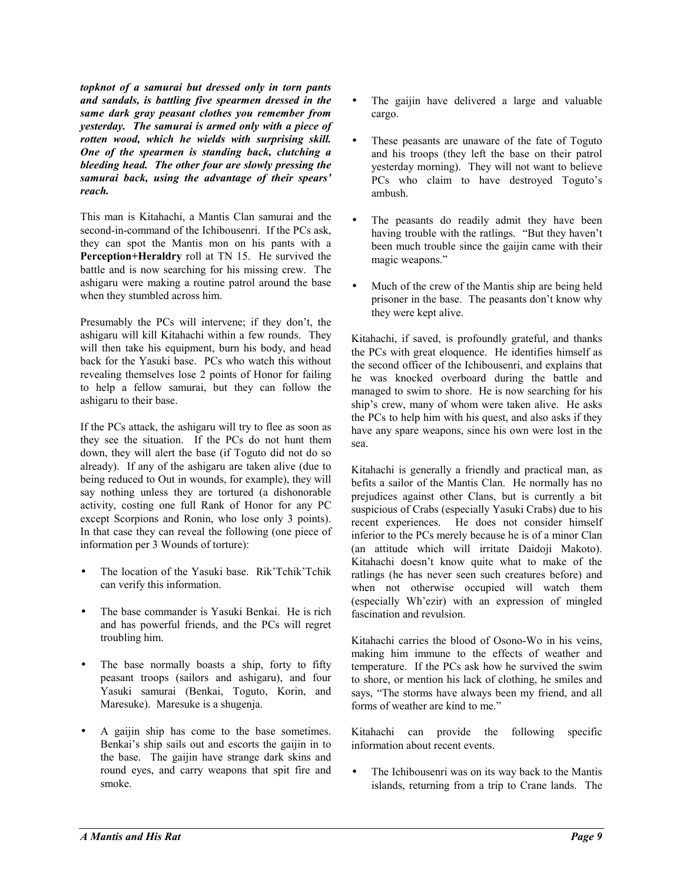*topknot of a samurai but dressed only in torn pants and sandals, is battling five spearmen dressed in the same dark gray peasant clothes you remember from yesterday. The samurai is armed only with a piece of rotten wood, which he wields with surprising skill. One of the spearmen is standing back, clutching a bleeding head. The other four are slowly pressing the*  samurai back, using the advantage of their spears' *reach.* 

This man is Kitahachi, a Mantis Clan samurai and the second-in-command of the Ichibousenri. If the PCs ask, they can spot the Mantis mon on his pants with a **Perception+Heraldry** roll at TN 15. He survived the battle and is now searching for his missing crew. The ashigaru were making a routine patrol around the base when they stumbled across him.

Presumably the PCs will intervene; if they don't, the ashigaru will kill Kitahachi within a few rounds. They will then take his equipment, burn his body, and head back for the Yasuki base. PCs who watch this without revealing themselves lose 2 points of Honor for failing to help a fellow samurai, but they can follow the ashigaru to their base.

If the PCs attack, the ashigaru will try to flee as soon as they see the situation. If the PCs do not hunt them down, they will alert the base (if Toguto did not do so already). If any of the ashigaru are taken alive (due to being reduced to Out in wounds, for example), they will say nothing unless they are tortured (a dishonorable activity, costing one full Rank of Honor for any PC except Scorpions and Ronin, who lose only 3 points). In that case they can reveal the following (one piece of information per 3 Wounds of torture):

- The location of the Yasuki base. Rik'Tchik'Tchik can verify this information.
- The base commander is Yasuki Benkai. He is rich and has powerful friends, and the PCs will regret troubling him.
- The base normally boasts a ship, forty to fifty peasant troops (sailors and ashigaru), and four Yasuki samurai (Benkai, Toguto, Korin, and Maresuke). Maresuke is a shugenja.
- A gaijin ship has come to the base sometimes. Benkai's ship sails out and escorts the gaijin in to the base. The gaijin have strange dark skins and round eyes, and carry weapons that spit fire and smoke.
- The gaijin have delivered a large and valuable cargo.
- These peasants are unaware of the fate of Toguto and his troops (they left the base on their patrol yesterday morning). They will not want to believe PCs who claim to have destroyed Toguto's ambush.
- The peasants do readily admit they have been having trouble with the ratlings. "But they haven't been much trouble since the gaijin came with their magic weapons."
- Much of the crew of the Mantis ship are being held prisoner in the base. The peasants don't know why they were kept alive.

Kitahachi, if saved, is profoundly grateful, and thanks the PCs with great eloquence. He identifies himself as the second officer of the Ichibousenri, and explains that he was knocked overboard during the battle and managed to swim to shore. He is now searching for his ship's crew, many of whom were taken alive. He asks the PCs to help him with his quest, and also asks if they have any spare weapons, since his own were lost in the sea.

Kitahachi is generally a friendly and practical man, as befits a sailor of the Mantis Clan. He normally has no prejudices against other Clans, but is currently a bit suspicious of Crabs (especially Yasuki Crabs) due to his recent experiences. He does not consider himself inferior to the PCs merely because he is of a minor Clan (an attitude which will irritate Daidoji Makoto). Kitahachi doesn't know quite what to make of the ratlings (he has never seen such creatures before) and when not otherwise occupied will watch them (especially Wh'ezir) with an expression of mingled fascination and revulsion.

Kitahachi carries the blood of Osono-Wo in his veins, making him immune to the effects of weather and temperature. If the PCs ask how he survived the swim to shore, or mention his lack of clothing, he smiles and says, "The storms have always been my friend, and all forms of weather are kind to me."

Kitahachi can provide the following specific information about recent events.

The Ichibousenri was on its way back to the Mantis islands, returning from a trip to Crane lands. The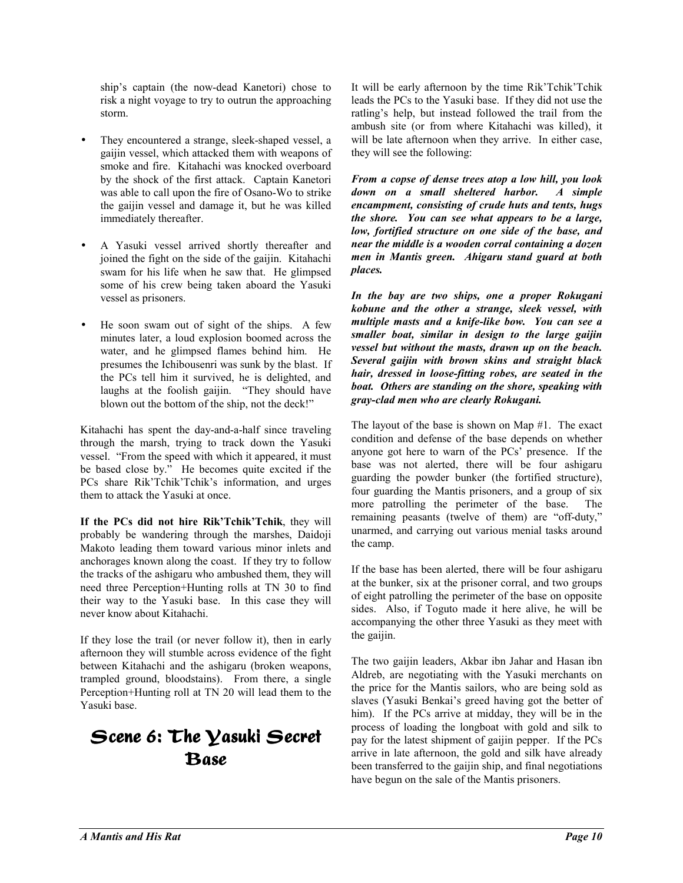ship's captain (the now-dead Kanetori) chose to risk a night voyage to try to outrun the approaching storm.

- They encountered a strange, sleek-shaped vessel, a gaijin vessel, which attacked them with weapons of smoke and fire. Kitahachi was knocked overboard by the shock of the first attack. Captain Kanetori was able to call upon the fire of Osano-Wo to strike the gaijin vessel and damage it, but he was killed immediately thereafter.
- A Yasuki vessel arrived shortly thereafter and joined the fight on the side of the gaijin. Kitahachi swam for his life when he saw that. He glimpsed some of his crew being taken aboard the Yasuki vessel as prisoners.
- He soon swam out of sight of the ships. A few minutes later, a loud explosion boomed across the water, and he glimpsed flames behind him. He presumes the Ichibousenri was sunk by the blast. If the PCs tell him it survived, he is delighted, and laughs at the foolish gaijin. "They should have blown out the bottom of the ship, not the deck!"

Kitahachi has spent the day-and-a-half since traveling through the marsh, trying to track down the Yasuki vessel. "From the speed with which it appeared, it must be based close by." He becomes quite excited if the PCs share Rik'Tchik'Tchik's information, and urges them to attack the Yasuki at once.

If the PCs did not hire Rik'Tchik'Tchik, they will probably be wandering through the marshes, Daidoji Makoto leading them toward various minor inlets and anchorages known along the coast. If they try to follow the tracks of the ashigaru who ambushed them, they will need three Perception+Hunting rolls at TN 30 to find their way to the Yasuki base. In this case they will never know about Kitahachi.

If they lose the trail (or never follow it), then in early afternoon they will stumble across evidence of the fight between Kitahachi and the ashigaru (broken weapons, trampled ground, bloodstains). From there, a single Perception+Hunting roll at TN 20 will lead them to the Yasuki base.

### Scene 6: The  $\bm{\mathsf{Y}}$ asuki Secret **Base**

It will be early afternoon by the time Rik'Tchik'Tchik leads the PCs to the Yasuki base. If they did not use the ratling's help, but instead followed the trail from the ambush site (or from where Kitahachi was killed), it will be late afternoon when they arrive. In either case, they will see the following:

*From a copse of dense trees atop a low hill, you look down on a small sheltered harbor. A simple encampment, consisting of crude huts and tents, hugs the shore. You can see what appears to be a large, low, fortified structure on one side of the base, and near the middle is a wooden corral containing a dozen men in Mantis green. Ahigaru stand guard at both places.* 

*In the bay are two ships, one a proper Rokugani kobune and the other a strange, sleek vessel, with multiple masts and a knife-like bow. You can see a smaller boat, similar in design to the large gaijin vessel but without the masts, drawn up on the beach. Several gaijin with brown skins and straight black hair, dressed in loose-fitting robes, are seated in the boat. Others are standing on the shore, speaking with gray-clad men who are clearly Rokugani.* 

The layout of the base is shown on Map #1. The exact condition and defense of the base depends on whether anyone got here to warn of the PCs' presence. If the base was not alerted, there will be four ashigaru guarding the powder bunker (the fortified structure), four guarding the Mantis prisoners, and a group of six more patrolling the perimeter of the base. The remaining peasants (twelve of them) are "off-duty," unarmed, and carrying out various menial tasks around the camp.

If the base has been alerted, there will be four ashigaru at the bunker, six at the prisoner corral, and two groups of eight patrolling the perimeter of the base on opposite sides. Also, if Toguto made it here alive, he will be accompanying the other three Yasuki as they meet with the gaijin.

The two gaijin leaders, Akbar ibn Jahar and Hasan ibn Aldreb, are negotiating with the Yasuki merchants on the price for the Mantis sailors, who are being sold as slaves (Yasuki Benkai's greed having got the better of him). If the PCs arrive at midday, they will be in the process of loading the longboat with gold and silk to pay for the latest shipment of gaijin pepper. If the PCs arrive in late afternoon, the gold and silk have already been transferred to the gaijin ship, and final negotiations have begun on the sale of the Mantis prisoners.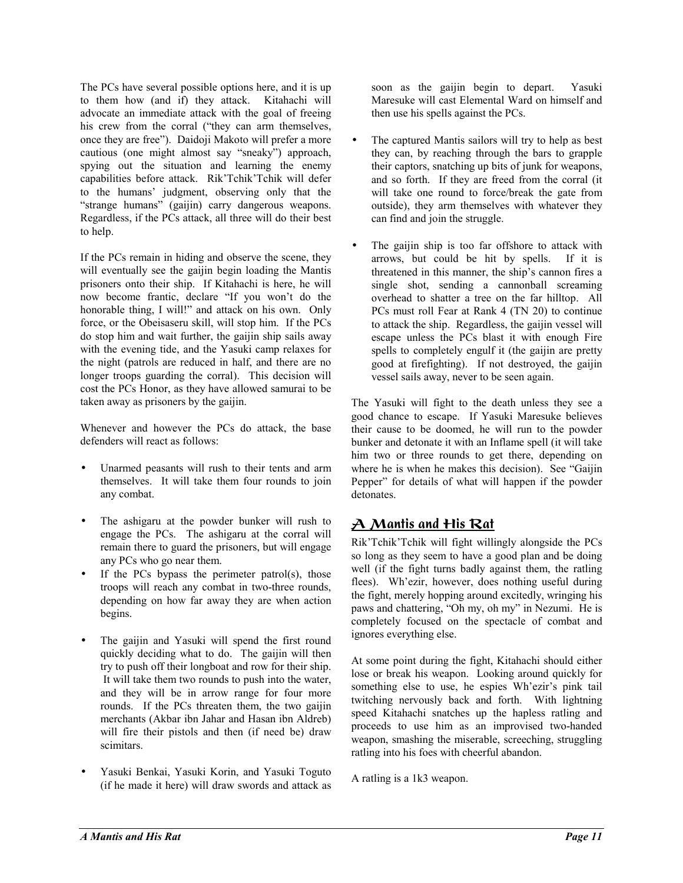The PCs have several possible options here, and it is up to them how (and if) they attack. Kitahachi will advocate an immediate attack with the goal of freeing his crew from the corral ("they can arm themselves, once they are free"). Daidoji Makoto will prefer a more cautious (one might almost say "sneaky") approach, spying out the situation and learning the enemy capabilities before attack. Rik'Tchik'Tchik will defer to the humans' judgment, observing only that the "strange humans" (gaijin) carry dangerous weapons. Regardless, if the PCs attack, all three will do their best to help.

If the PCs remain in hiding and observe the scene, they will eventually see the gaijin begin loading the Mantis prisoners onto their ship. If Kitahachi is here, he will now become frantic, declare "If you won't do the honorable thing, I will!" and attack on his own. Only force, or the Obeisaseru skill, will stop him. If the PCs do stop him and wait further, the gaijin ship sails away with the evening tide, and the Yasuki camp relaxes for the night (patrols are reduced in half, and there are no longer troops guarding the corral). This decision will cost the PCs Honor, as they have allowed samurai to be taken away as prisoners by the gaijin.

Whenever and however the PCs do attack, the base defenders will react as follows:

- Unarmed peasants will rush to their tents and arm themselves. It will take them four rounds to join any combat.
- The ashigaru at the powder bunker will rush to engage the PCs. The ashigaru at the corral will remain there to guard the prisoners, but will engage any PCs who go near them.
- If the PCs bypass the perimeter patrol(s), those troops will reach any combat in two-three rounds, depending on how far away they are when action begins.
- The gaijin and Yasuki will spend the first round quickly deciding what to do. The gaijin will then try to push off their longboat and row for their ship. It will take them two rounds to push into the water, and they will be in arrow range for four more rounds. If the PCs threaten them, the two gaijin merchants (Akbar ibn Jahar and Hasan ibn Aldreb) will fire their pistols and then (if need be) draw scimitars.
- Yasuki Benkai, Yasuki Korin, and Yasuki Toguto (if he made it here) will draw swords and attack as

soon as the gaijin begin to depart. Yasuki Maresuke will cast Elemental Ward on himself and then use his spells against the PCs.

- The captured Mantis sailors will try to help as best they can, by reaching through the bars to grapple their captors, snatching up bits of junk for weapons, and so forth. If they are freed from the corral (it will take one round to force/break the gate from outside), they arm themselves with whatever they can find and join the struggle.
- The gaijin ship is too far offshore to attack with arrows, but could be hit by spells. If it is threatened in this manner, the ship's cannon fires a single shot, sending a cannonball screaming overhead to shatter a tree on the far hilltop. All PCs must roll Fear at Rank 4 (TN 20) to continue to attack the ship. Regardless, the gaijin vessel will escape unless the PCs blast it with enough Fire spells to completely engulf it (the gaijin are pretty good at firefighting). If not destroyed, the gaijin vessel sails away, never to be seen again.

The Yasuki will fight to the death unless they see a good chance to escape. If Yasuki Maresuke believes their cause to be doomed, he will run to the powder bunker and detonate it with an Inflame spell (it will take him two or three rounds to get there, depending on where he is when he makes this decision). See "Gaijin" Pepper" for details of what will happen if the powder detonates.

### <u>A Mantis and His Rat</u>

Rik'Tchik Tchik will fight willingly alongside the PCs so long as they seem to have a good plan and be doing well (if the fight turns badly against them, the ratling flees). Wh'ezir, however, does nothing useful during the fight, merely hopping around excitedly, wringing his paws and chattering, "Oh my, oh my" in Nezumi. He is completely focused on the spectacle of combat and ignores everything else.

At some point during the fight, Kitahachi should either lose or break his weapon. Looking around quickly for something else to use, he espies Wh'ezir's pink tail twitching nervously back and forth. With lightning speed Kitahachi snatches up the hapless ratling and proceeds to use him as an improvised two-handed weapon, smashing the miserable, screeching, struggling ratling into his foes with cheerful abandon.

A ratling is a 1k3 weapon.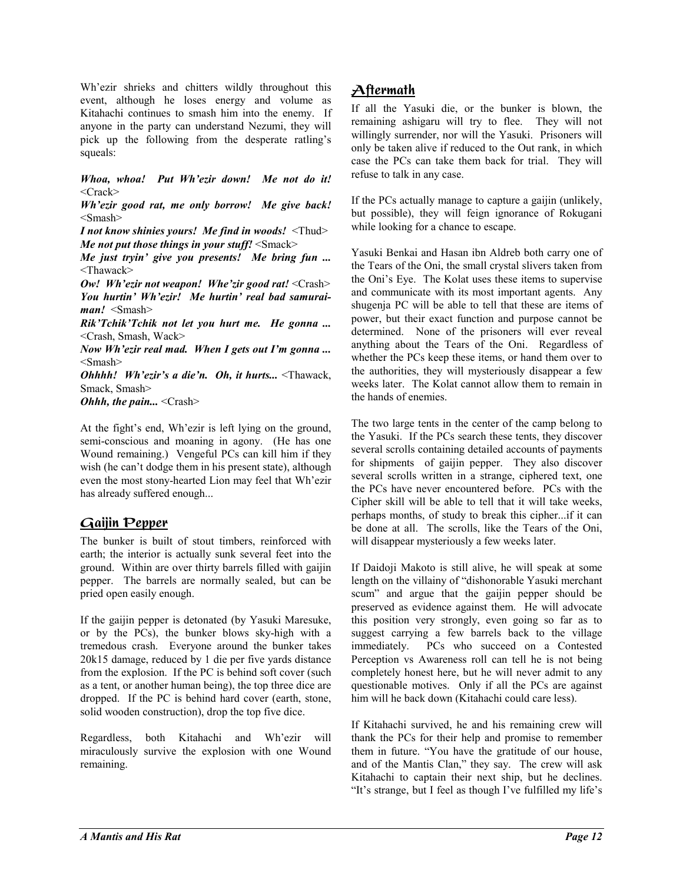Wh'ezir shrieks and chitters wildly throughout this event, although he loses energy and volume as Kitahachi continues to smash him into the enemy. If anyone in the party can understand Nezumi, they will pick up the following from the desperate ratling's squeals:

*Whoa, whoa! Put Whíezir down! Me not do it!*  $<$ Crack $>$ 

*Whíezir good rat, me only borrow! Me give back!* <Smash>

*I not know shinies yours! Me find in woods!* <Thud> *Me not put those things in your stuff!* <Smack>

*Me just tryin' give you presents! Me bring fun ...* <Thawack>

*Ow! Wh'ezir not weapon! Whe'zir good rat!* <Crash> You hurtin<sup>*'</sup> Wh'ezir! Me hurtin' real bad samurai*-</sup> *man!* <Smash>

*RikíTchikíTchik not let you hurt me. He gonna ...* <Crash, Smash, Wack>

*Now Wh'ezir real mad. When I gets out I'm gonna...* <Smash>

*Ohhhh! Wh'ezir's a die'n. Oh, it hurts...* <Thawack, Smack, Smash>

**Ohhh, the pain...** <Crash>

At the fight's end, Wh'ezir is left lying on the ground, semi-conscious and moaning in agony. (He has one Wound remaining.) Vengeful PCs can kill him if they wish (he can't dodge them in his present state), although even the most stony-hearted Lion may feel that Wh'ezir has already suffered enough...

### <u>Gaijin Pepper</u>

The bunker is built of stout timbers, reinforced with earth; the interior is actually sunk several feet into the ground. Within are over thirty barrels filled with gaijin pepper. The barrels are normally sealed, but can be pried open easily enough.

If the gaijin pepper is detonated (by Yasuki Maresuke, or by the PCs), the bunker blows sky-high with a tremedous crash. Everyone around the bunker takes 20k15 damage, reduced by 1 die per five yards distance from the explosion. If the PC is behind soft cover (such as a tent, or another human being), the top three dice are dropped. If the PC is behind hard cover (earth, stone, solid wooden construction), drop the top five dice.

Regardless, both Kitahachi and Wh'ezir will miraculously survive the explosion with one Wound remaining.

### <u>Aftermath</u>

If all the Yasuki die, or the bunker is blown, the remaining ashigaru will try to flee. They will not willingly surrender, nor will the Yasuki. Prisoners will only be taken alive if reduced to the Out rank, in which case the PCs can take them back for trial. They will refuse to talk in any case.

If the PCs actually manage to capture a gaijin (unlikely, but possible), they will feign ignorance of Rokugani while looking for a chance to escape.

Yasuki Benkai and Hasan ibn Aldreb both carry one of the Tears of the Oni, the small crystal slivers taken from the Oni's Eye. The Kolat uses these items to supervise and communicate with its most important agents. Any shugenja PC will be able to tell that these are items of power, but their exact function and purpose cannot be determined. None of the prisoners will ever reveal anything about the Tears of the Oni. Regardless of whether the PCs keep these items, or hand them over to the authorities, they will mysteriously disappear a few weeks later. The Kolat cannot allow them to remain in the hands of enemies.

The two large tents in the center of the camp belong to the Yasuki. If the PCs search these tents, they discover several scrolls containing detailed accounts of payments for shipments of gaijin pepper. They also discover several scrolls written in a strange, ciphered text, one the PCs have never encountered before. PCs with the Cipher skill will be able to tell that it will take weeks, perhaps months, of study to break this cipher...if it can be done at all. The scrolls, like the Tears of the Oni, will disappear mysteriously a few weeks later.

If Daidoji Makoto is still alive, he will speak at some length on the villainy of "dishonorable Yasuki merchant scum<sup>3</sup> and argue that the gaijin pepper should be preserved as evidence against them. He will advocate this position very strongly, even going so far as to suggest carrying a few barrels back to the village immediately. PCs who succeed on a Contested Perception vs Awareness roll can tell he is not being completely honest here, but he will never admit to any questionable motives. Only if all the PCs are against him will he back down (Kitahachi could care less).

If Kitahachi survived, he and his remaining crew will thank the PCs for their help and promise to remember them in future. "You have the gratitude of our house, and of the Mantis Clan," they say. The crew will ask Kitahachi to captain their next ship, but he declines. "It's strange, but I feel as though I've fulfilled my life's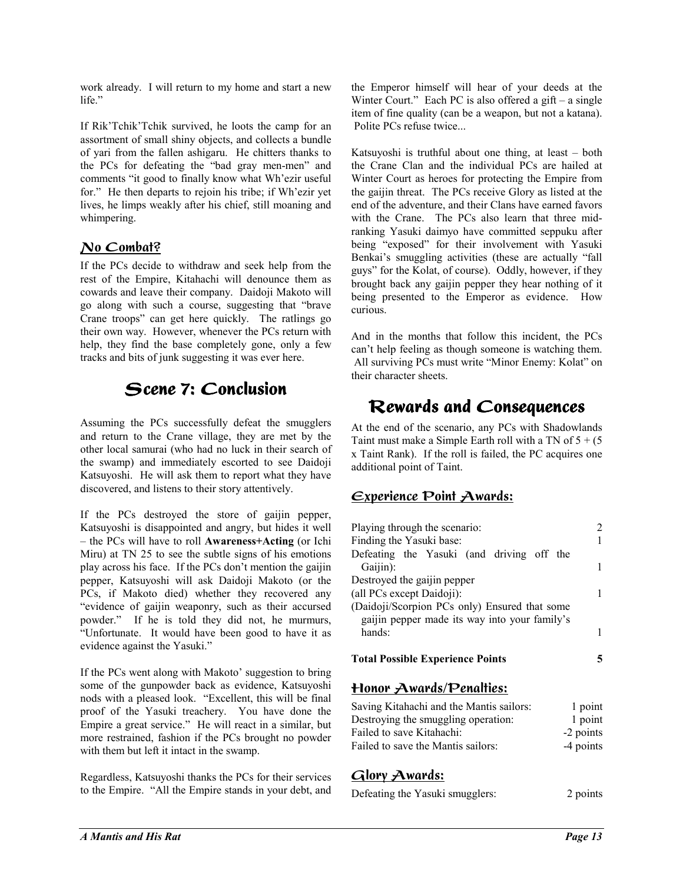work already. I will return to my home and start a new life."

If Rik'Tchik'Tchik survived, he loots the camp for an assortment of small shiny objects, and collects a bundle of yari from the fallen ashigaru. He chitters thanks to the PCs for defeating the "bad gray men-men" and comments "it good to finally know what Wh'ezir useful for." He then departs to rejoin his tribe; if Wh'ezir yet lives, he limps weakly after his chief, still moaning and whimpering.

### <u>No Combat?</u>

If the PCs decide to withdraw and seek help from the rest of the Empire, Kitahachi will denounce them as cowards and leave their company. Daidoji Makoto will go along with such a course, suggesting that "brave Crane troops" can get here quickly. The ratlings go their own way. However, whenever the PCs return with help, they find the base completely gone, only a few tracks and bits of junk suggesting it was ever here.

### Scene 7: Conclusion

Assuming the PCs successfully defeat the smugglers and return to the Crane village, they are met by the other local samurai (who had no luck in their search of the swamp) and immediately escorted to see Daidoji Katsuyoshi. He will ask them to report what they have discovered, and listens to their story attentively.

If the PCs destroyed the store of gaijin pepper, Katsuyoshi is disappointed and angry, but hides it well ñ the PCs will have to roll **Awareness+Acting** (or Ichi Miru) at TN 25 to see the subtle signs of his emotions play across his face. If the PCs don't mention the gaijin pepper, Katsuyoshi will ask Daidoji Makoto (or the PCs, if Makoto died) whether they recovered any ìevidence of gaijin weaponry, such as their accursed powder." If he is told they did not, he murmurs, ìUnfortunate. It would have been good to have it as evidence against the Yasuki."

If the PCs went along with Makoto' suggestion to bring some of the gunpowder back as evidence, Katsuyoshi nods with a pleased look. "Excellent, this will be final proof of the Yasuki treachery. You have done the Empire a great service." He will react in a similar, but more restrained, fashion if the PCs brought no powder with them but left it intact in the swamp.

Regardless, Katsuyoshi thanks the PCs for their services to the Empire. "All the Empire stands in your debt, and

the Emperor himself will hear of your deeds at the Winter Court." Each PC is also offered a gift  $-$  a single item of fine quality (can be a weapon, but not a katana). Polite PCs refuse twice...

Katsuyoshi is truthful about one thing, at least  $-$  both the Crane Clan and the individual PCs are hailed at Winter Court as heroes for protecting the Empire from the gaijin threat. The PCs receive Glory as listed at the end of the adventure, and their Clans have earned favors with the Crane. The PCs also learn that three midranking Yasuki daimyo have committed seppuku after being "exposed" for their involvement with Yasuki Benkai's smuggling activities (these are actually "fall guys" for the Kolat, of course). Oddly, however, if they brought back any gaijin pepper they hear nothing of it being presented to the Emperor as evidence. How curious.

And in the months that follow this incident, the PCs can't help feeling as though someone is watching them. All surviving PCs must write "Minor Enemy: Kolat" on their character sheets.

### Rewards and Consequences

At the end of the scenario, any PCs with Shadowlands Taint must make a Simple Earth roll with a TN of  $5 + (5)$ x Taint Rank). If the roll is failed, the PC acquires one additional point of Taint.

### <u> Experience Point Awards:</u>

| Playing through the scenario:                 |  |
|-----------------------------------------------|--|
| Finding the Yasuki base:                      |  |
| Defeating the Yasuki (and driving off the     |  |
| Gaijin):                                      |  |
| Destroyed the gaijin pepper                   |  |
| (all PCs except Daidoji):                     |  |
| (Daidoji/Scorpion PCs only) Ensured that some |  |
| gaijin pepper made its way into your family's |  |
| hands:                                        |  |
| <b>Total Possible Experience Points</b>       |  |
|                                               |  |

### <u> Honor Awards/Penalties:</u>

| Saving Kitahachi and the Mantis sailors: | 1 point   |
|------------------------------------------|-----------|
| Destroying the smuggling operation:      | 1 point   |
| Failed to save Kitahachi:                | -2 points |
| Failed to save the Mantis sailors:       | -4 points |

### <u>Glory Awards:</u>

| Defeating the Yasuki smugglers: | 2 points |
|---------------------------------|----------|
|                                 |          |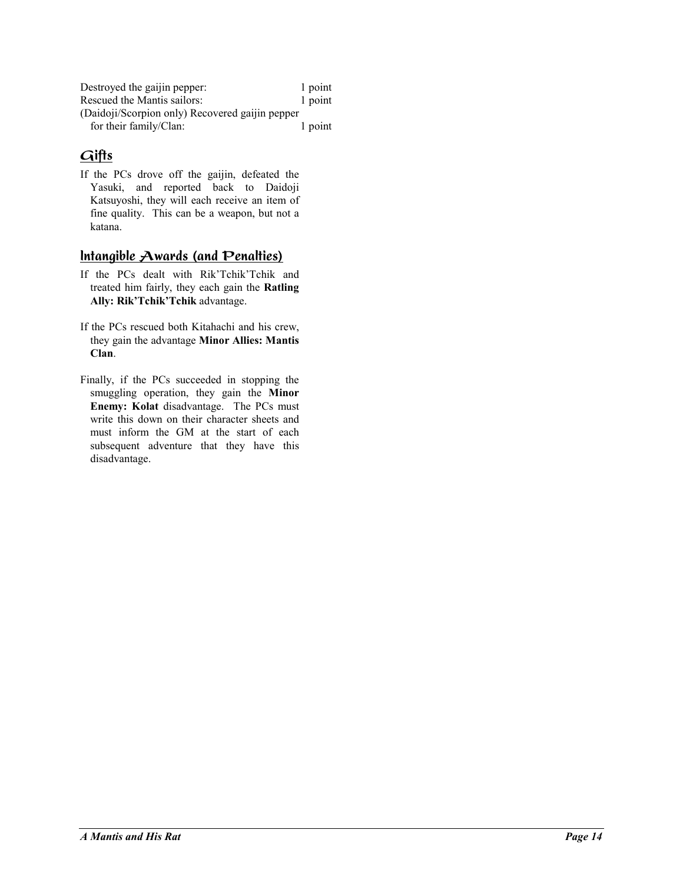| Destroyed the gaijin pepper:                    | 1 point |
|-------------------------------------------------|---------|
| Rescued the Mantis sailors:                     | 1 point |
| (Daidoji/Scorpion only) Recovered gaijin pepper |         |
| for their family/Clan:                          | 1 point |

### Gifts

If the PCs drove off the gaijin, defeated the Yasuki, and reported back to Daidoji Katsuyoshi, they will each receive an item of fine quality. This can be a weapon, but not a katana.

### <u>Intangible Awards (and Penalties)</u>

- If the PCs dealt with Rik'Tchik'Tchik and treated him fairly, they each gain the **Ratling**  Ally: Rik'Tchik'Tchik advantage.
- If the PCs rescued both Kitahachi and his crew, they gain the advantage **Minor Allies: Mantis Clan**.
- Finally, if the PCs succeeded in stopping the smuggling operation, they gain the **Minor Enemy: Kolat** disadvantage. The PCs must write this down on their character sheets and must inform the GM at the start of each subsequent adventure that they have this disadvantage.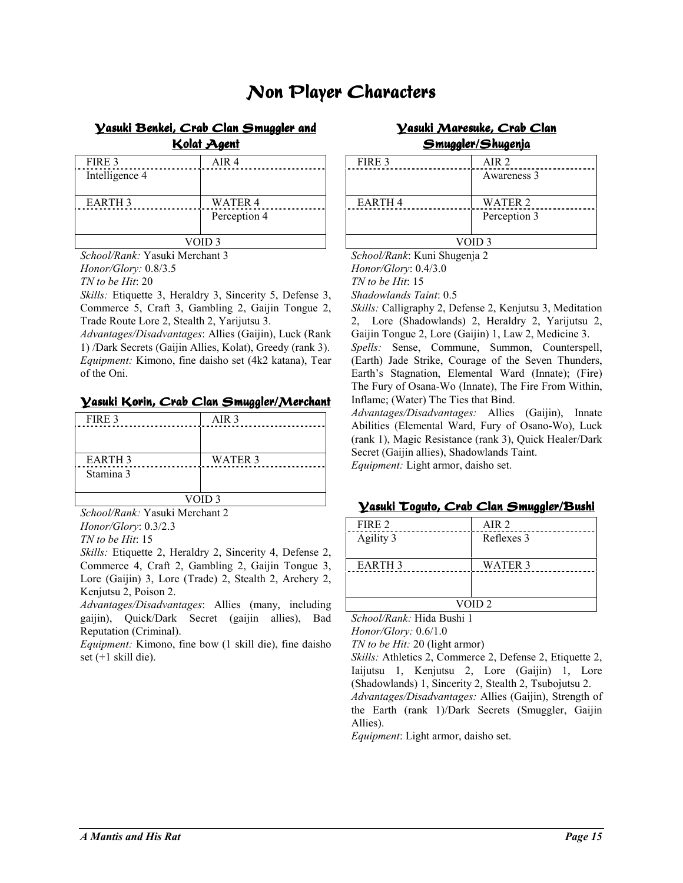### Non Player Characters

### <u>Vasuki Benkei, Crab Clan Smuggler and</u>

<u> Kolat Agent</u>

| FIRE 3         | AIR <sub>4</sub> |
|----------------|------------------|
| Intelligence 4 |                  |
| <b>EARTH 3</b> | <b>WATER 4</b>   |
|                | Perception 4     |
| VOID 3         |                  |

*School/Rank:* Yasuki Merchant 3 *Honor/Glory:* 0.8/3.5

*TN to be Hit*: 20

*Skills:* Etiquette 3, Heraldry 3, Sincerity 5, Defense 3, Commerce 5, Craft 3, Gambling 2, Gaijin Tongue 2, Trade Route Lore 2, Stealth 2, Yarijutsu 3.

*Advantages/Disadvantages*: Allies (Gaijin), Luck (Rank 1) /Dark Secrets (Gaijin Allies, Kolat), Greedy (rank 3). *Equipment:* Kimono, fine daisho set (4k2 katana), Tear of the Oni.

#### <u> Vasuki Korin, Crab Clan Smuggler/Merchant</u>

| FIRE 3            | AIR <sub>3</sub> |
|-------------------|------------------|
|                   |                  |
|                   |                  |
| <b>EARTH 3</b>    | WATER 3          |
| Stamina 3         |                  |
|                   |                  |
| VOID <sub>3</sub> |                  |

*School/Rank:* Yasuki Merchant 2 *Honor/Glory*: 0.3/2.3

*TN to be Hit*: 15

*Skills:* Etiquette 2, Heraldry 2, Sincerity 4, Defense 2, Commerce 4, Craft 2, Gambling 2, Gaijin Tongue 3, Lore (Gaijin) 3, Lore (Trade) 2, Stealth 2, Archery 2, Kenjutsu 2, Poison 2.

*Advantages/Disadvantages*: Allies (many, including gaijin), Quick/Dark Secret (gaijin allies), Bad Reputation (Criminal).

*Equipment:* Kimono, fine bow (1 skill die), fine daisho set (+1 skill die).

### <u>Vasuki Maresuke, Crab Clan</u> <u>Smuggler/Shugenja</u>

| FIRE 3        | AIR 2          |
|---------------|----------------|
|               | Awareness 3    |
| <b>EARTH4</b> | <b>WATER 2</b> |
|               | Perception 3   |
| VOID 3        |                |

*School/Rank*: Kuni Shugenja 2 *Honor/Glory*: 0.4/3.0 *TN to be Hit*: 15 *Shadowlands Taint*: 0.5

*Skills:* Calligraphy 2, Defense 2, Kenjutsu 3, Meditation 2, Lore (Shadowlands) 2, Heraldry 2, Yarijutsu 2, Gaijin Tongue 2, Lore (Gaijin) 1, Law 2, Medicine 3.

*Spells:* Sense, Commune, Summon, Counterspell, (Earth) Jade Strike, Courage of the Seven Thunders, Earth's Stagnation, Elemental Ward (Innate); (Fire) The Fury of Osana-Wo (Innate), The Fire From Within, Inflame; (Water) The Ties that Bind.

*Advantages/Disadvantages:* Allies (Gaijin), Innate Abilities (Elemental Ward, Fury of Osano-Wo), Luck (rank 1), Magic Resistance (rank 3), Quick Healer/Dark Secret (Gaijin allies), Shadowlands Taint.

*Equipment:* Light armor, daisho set.

#### <u> Vasuki Toguto, Crab Clan Smuggler/Bushi</u>

| FIRE 2            | AIR 2      |
|-------------------|------------|
| Agility 3         | Reflexes 3 |
|                   |            |
| <b>EARTH 3</b>    | WATER 3    |
|                   |            |
|                   |            |
| VOID <sub>2</sub> |            |

*School/Rank:* Hida Bushi 1

*Honor/Glory:* 0.6/1.0

*TN to be Hit:* 20 (light armor)

*Skills:* Athletics 2, Commerce 2, Defense 2, Etiquette 2, Iaijutsu 1, Kenjutsu 2, Lore (Gaijin) 1, Lore (Shadowlands) 1, Sincerity 2, Stealth 2, Tsubojutsu 2.

*Advantages/Disadvantages:* Allies (Gaijin), Strength of the Earth (rank 1)/Dark Secrets (Smuggler, Gaijin Allies).

*Equipment*: Light armor, daisho set.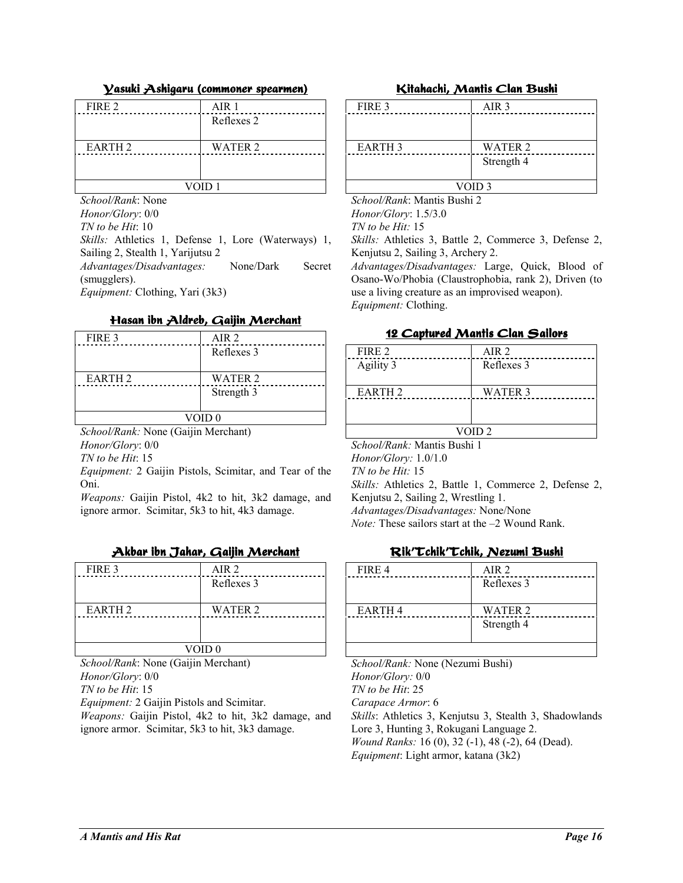#### <u> Vasuki Ashigaru (commoner spearmen)</u>

| FIRE 2         | AIR <sub>1</sub> |
|----------------|------------------|
|                | Reflexes 2       |
|                |                  |
| <b>EARTH 2</b> | WATER 2          |
|                |                  |
|                |                  |
| VOID 1         |                  |

*School/Rank*: None *Honor/Glory*: 0/0 *TN to be Hit*: 10 *Skills:* Athletics 1, Defense 1, Lore (Waterways) 1, Sailing 2, Stealth 1, Yarijutsu 2 *Advantages/Disadvantages:* None/Dark Secret (smugglers).

*Equipment:* Clothing, Yari (3k3)

#### <u>Hasan ibn Aldreb, Gaijin Merchant</u>

| FIRE 3             | AIR <sub>2</sub> |
|--------------------|------------------|
|                    | Reflexes 3       |
|                    |                  |
| EARTH <sub>2</sub> | WATER 2          |
|                    | Strength 3       |
|                    |                  |
| VOID <sub>0</sub>  |                  |

*School/Rank:* None (Gaijin Merchant)

*Honor/Glory*: 0/0 *TN to be Hit*: 15

*Equipment:* 2 Gaijin Pistols, Scimitar, and Tear of the Oni.

*Weapons:* Gaijin Pistol, 4k2 to hit, 3k2 damage, and ignore armor. Scimitar, 5k3 to hit, 4k3 damage.

### <u>Akbar ibn Jahar, Gaijin Merchant</u>

| FIRE 3            | AIR <sub>2</sub> |
|-------------------|------------------|
|                   | Reflexes 3       |
|                   |                  |
| <b>EARTH 2</b>    | WATER 2          |
|                   |                  |
|                   |                  |
| VOID <sub>0</sub> |                  |

*School/Rank*: None (Gaijin Merchant) *Honor/Glory*: 0/0

*TN to be Hit*: 15

*Equipment:* 2 Gaijin Pistols and Scimitar.

*Weapons:* Gaijin Pistol, 4k2 to hit, 3k2 damage, and ignore armor. Scimitar, 5k3 to hit, 3k3 damage.

#### Kitahachi, Mantis Clan Bushi

| FIRE 3            | AIR <sub>3</sub> |
|-------------------|------------------|
|                   |                  |
|                   |                  |
| <b>EARTH 3</b>    | WATER 2          |
|                   | Strength 4       |
|                   |                  |
| VOID <sub>3</sub> |                  |

*School/Rank*: Mantis Bushi 2 *Honor/Glory*: 1.5/3.0 *TN to be Hit:* 15

*Skills:* Athletics 3, Battle 2, Commerce 3, Defense 2, Kenjutsu 2, Sailing 3, Archery 2.

*Advantages/Disadvantages:* Large, Quick, Blood of Osano-Wo/Phobia (Claustrophobia, rank 2), Driven (to use a living creature as an improvised weapon). *Equipment:* Clothing.

#### <u>12 Captured Mantis Clan Sailors</u>

| FIRE 2                      | AIR 2      |
|-----------------------------|------------|
| Agility 3                   | Reflexes 3 |
|                             |            |
| EARTH <sub>2</sub>          | WATER 3    |
|                             |            |
|                             |            |
| VOID <sub>2</sub>           |            |
| School/Rank: Mantis Bushi 1 |            |

*School/Rank:* Mantis Bushi 1 *Honor/Glory:* 1.0/1.0 *TN to be Hit:* 15 *Skills:* Athletics 2, Battle 1, Commerce 2, Defense 2,

Kenjutsu 2, Sailing 2, Wrestling 1.

*Advantages/Disadvantages:* None/None

*Note:* These sailors start at the  $-2$  Wound Rank.

#### Rik' Tchik' Tchik, Nezumi Bushi

| AIR <sub>2</sub> |
|------------------|
| Reflexes 3       |
|                  |
| <b>WATER 2</b>   |
| Strength 4       |
|                  |
|                  |

*School/Rank:* None (Nezumi Bushi) *Honor/Glory:* 0/0 *TN to be Hit*: 25 *Carapace Armor*: 6 *Skills*: Athletics 3, Kenjutsu 3, Stealth 3, Shadowlands Lore 3, Hunting 3, Rokugani Language 2. *Wound Ranks:* 16 (0), 32 (-1), 48 (-2), 64 (Dead). *Equipment*: Light armor, katana (3k2)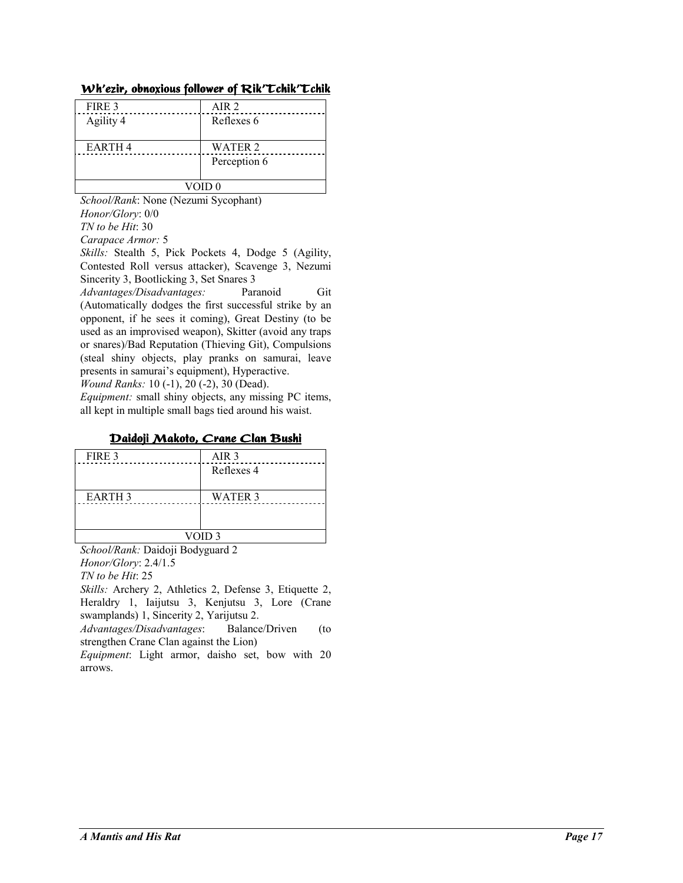| AIR 2          |  |
|----------------|--|
| Reflexes 6     |  |
|                |  |
| <b>WATER 2</b> |  |
| Perception 6   |  |
|                |  |
| VOID 0         |  |
|                |  |

#### Wh'ezir, obnoxious follower of Rik' Lchik' Lchik

*School/Rank*: None (Nezumi Sycophant) *Honor/Glory*: 0/0 *TN to be Hit*: 30 *Carapace Armor:* 5

*Skills:* Stealth 5, Pick Pockets 4, Dodge 5 (Agility, Contested Roll versus attacker), Scavenge 3, Nezumi Sincerity 3, Bootlicking 3, Set Snares 3

*Advantages/Disadvantages:* Paranoid Git (Automatically dodges the first successful strike by an opponent, if he sees it coming), Great Destiny (to be used as an improvised weapon), Skitter (avoid any traps or snares)/Bad Reputation (Thieving Git), Compulsions (steal shiny objects, play pranks on samurai, leave presents in samurai's equipment), Hyperactive.

*Wound Ranks:* 10 (-1), 20 (-2), 30 (Dead).

*Equipment:* small shiny objects, any missing PC items, all kept in multiple small bags tied around his waist.

### <u>Daidoji Makoto, Crane Clan Bushi</u>

| FIRE 3            | AIR <sub>3</sub> |
|-------------------|------------------|
|                   | Reflexes 4       |
|                   |                  |
| <b>EARTH 3</b>    | <b>WATER 3</b>   |
|                   |                  |
|                   |                  |
| VOID <sub>3</sub> |                  |

*School/Rank:* Daidoji Bodyguard 2 *Honor/Glory*: 2.4/1.5

*TN to be Hit*: 25

*Skills:* Archery 2, Athletics 2, Defense 3, Etiquette 2, Heraldry 1, Iaijutsu 3, Kenjutsu 3, Lore (Crane swamplands) 1, Sincerity 2, Yarijutsu 2.

*Advantages/Disadvantages*: Balance/Driven (to strengthen Crane Clan against the Lion)

*Equipment*: Light armor, daisho set, bow with 20 arrows.